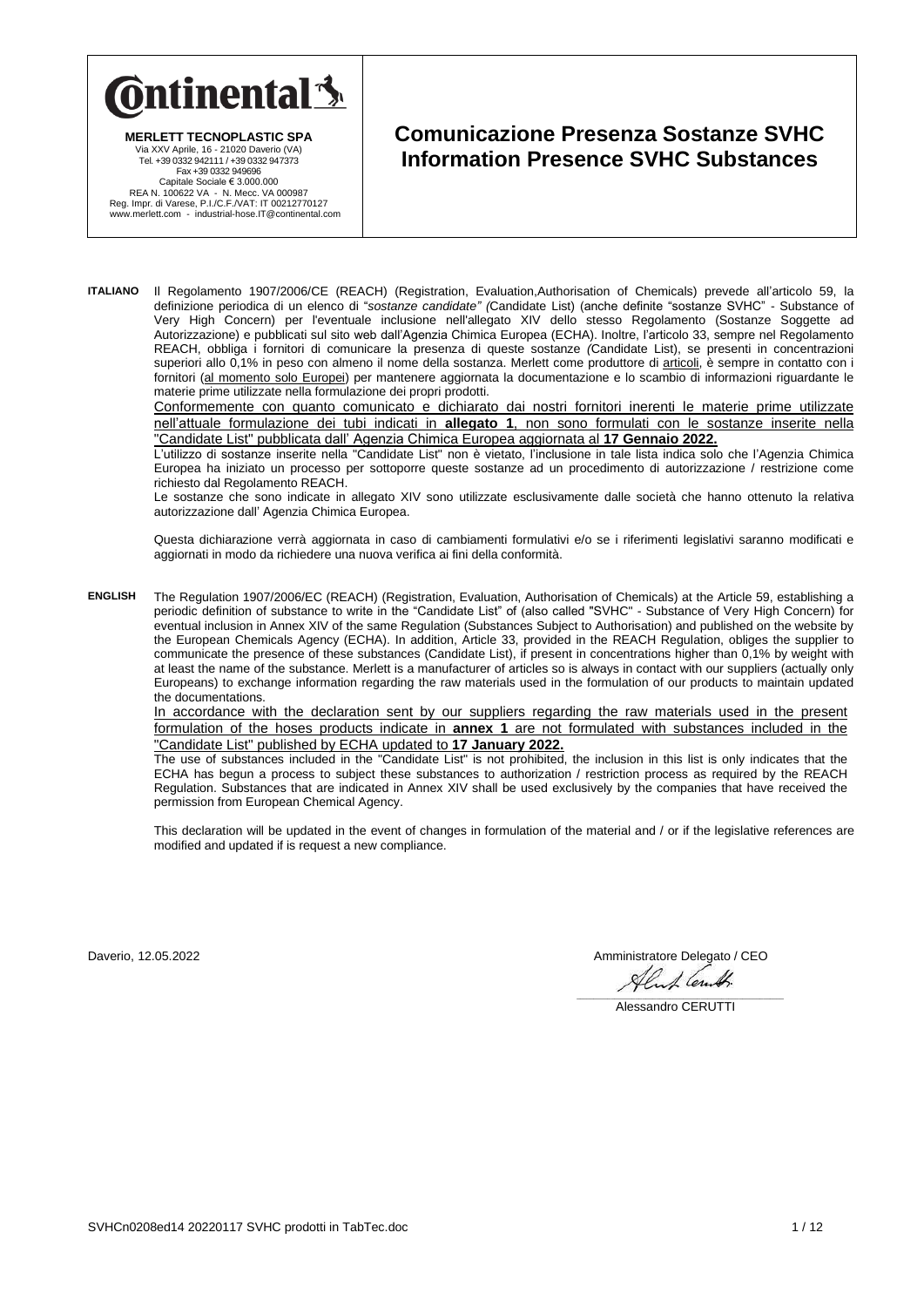

**MERLETT TECNOPLASTIC SPA** Via XXV Aprile, 16 - 21020 Daverio (VA) Tel. +39 0332 942111 / +39 0332 947373 Fax +39 0332 949696 Capitale Sociale € 3.000.000<br>REA N. 100622 VA - N. Mecc. VA 000987<br>Reg. Impr. di Varese, P.I./C.F./VAT: IT 00212770127<br>www.merlett.com - industrial-hose.IT@continental.com

## **Comunicazione Presenza Sostanze SVHC Information Presence SVHC Substances**

**ITALIANO** Il Regolamento 1907/2006/CE (REACH) (Registration, Evaluation,Authorisation of Chemicals) prevede all'articolo 59, la definizione periodica di un elenco di "*sostanze candidate" (*Candidate List) (anche definite "sostanze SVHC" - Substance of Very High Concern) per l'eventuale inclusione nell'allegato XIV dello stesso Regolamento (Sostanze Soggette ad Autorizzazione) e pubblicati sul sito web dall'Agenzia Chimica Europea (ECHA). Inoltre, l'articolo 33, sempre nel Regolamento REACH, obbliga i fornitori di comunicare la presenza di queste sostanze *(*Candidate List), se presenti in concentrazioni superiori allo 0,1% in peso con almeno il nome della sostanza. Merlett come produttore di articoli, è sempre in contatto con i fornitori (al momento solo Europei) per mantenere aggiornata la documentazione e lo scambio di informazioni riguardante le materie prime utilizzate nella formulazione dei propri prodotti.

Conformemente con quanto comunicato e dichiarato dai nostri fornitori inerenti le materie prime utilizzate nell'attuale formulazione dei tubi indicati in **allegato 1**, non sono formulati con le sostanze inserite nella "Candidate List" pubblicata dall' Agenzia Chimica Europea aggiornata al **17 Gennaio 2022.**

L'utilizzo di sostanze inserite nella "Candidate List" non è vietato, l'inclusione in tale lista indica solo che l'Agenzia Chimica Europea ha iniziato un processo per sottoporre queste sostanze ad un procedimento di autorizzazione / restrizione come richiesto dal Regolamento REACH.

Le sostanze che sono indicate in allegato XIV sono utilizzate esclusivamente dalle società che hanno ottenuto la relativa autorizzazione dall' Agenzia Chimica Europea.

Questa dichiarazione verrà aggiornata in caso di cambiamenti formulativi e/o se i riferimenti legislativi saranno modificati e aggiornati in modo da richiedere una nuova verifica ai fini della conformità.

**ENGLISH** The Regulation 1907/2006/EC (REACH) (Registration, Evaluation, Authorisation of Chemicals) at the Article 59, establishing a periodic definition of substance to write in the "Candidate List" of (also called "SVHC" - Substance of Very High Concern) for eventual inclusion in Annex XIV of the same Regulation (Substances Subject to Authorisation) and published on the website by the European Chemicals Agency (ECHA). In addition, Article 33, provided in the REACH Regulation, obliges the supplier to communicate the presence of these substances (Candidate List), if present in concentrations higher than 0,1% by weight with at least the name of the substance. Merlett is a manufacturer of articles so is always in contact with our suppliers (actually only Europeans) to exchange information regarding the raw materials used in the formulation of our products to maintain updated the documentations.

In accordance with the declaration sent by our suppliers regarding the raw materials used in the present formulation of the hoses products indicate in **annex 1** are not formulated with substances included in the "Candidate List" published by ECHA updated to **17 January 2022.**

The use of substances included in the "Candidate List" is not prohibited, the inclusion in this list is only indicates that the ECHA has begun a process to subject these substances to authorization / restriction process as required by the REACH Regulation. Substances that are indicated in Annex XIV shall be used exclusively by the companies that have received the permission from European Chemical Agency.

This declaration will be updated in the event of changes in formulation of the material and / or if the legislative references are modified and updated if is request a new compliance.

Daverio, 12.05.2022 **Amministratore Delegato / CEO**  $1$  (en.

\_\_\_\_\_\_\_\_\_\_\_\_\_\_\_\_\_\_\_\_\_\_\_\_\_\_\_\_\_\_\_\_\_\_\_\_\_\_\_\_\_\_\_\_\_\_\_\_\_\_\_\_\_\_\_\_\_\_\_\_ Alessandro CERUTTI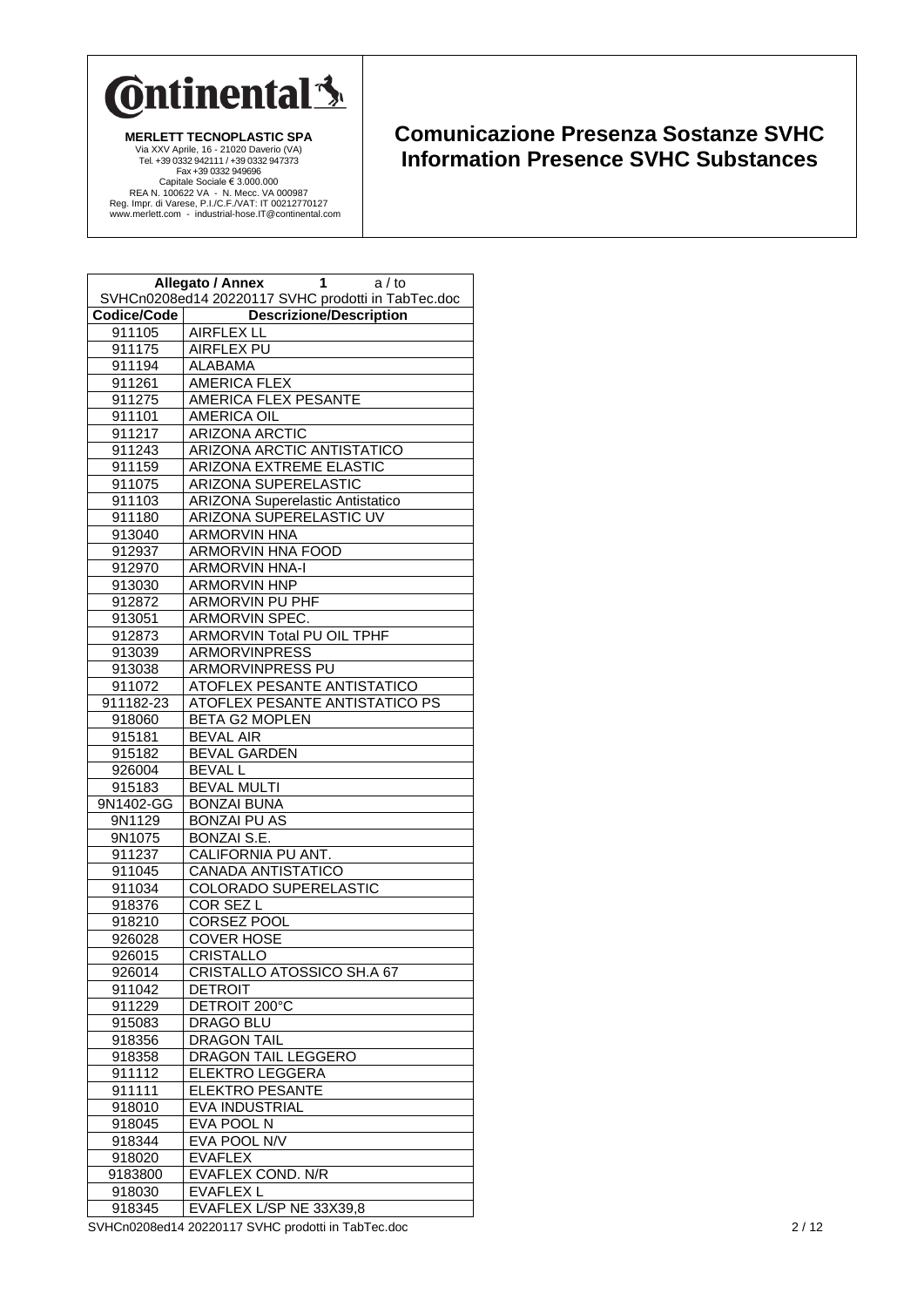

## **Comunicazione Presenza Sostanze SVHC Information Presence SVHC Substances**

|             | Allegato / Annex<br>1<br>a / to<br>SVHCn0208ed14 20220117 SVHC prodotti in TabTec.doc |
|-------------|---------------------------------------------------------------------------------------|
| Codice/Code |                                                                                       |
|             | <b>Descrizione/Description</b><br><b>AIRFLEX LL</b>                                   |
| 911105      |                                                                                       |
| 911175      | <b>AIRFLEX PU</b>                                                                     |
| 911194      | ALABAMA                                                                               |
| 911261      | <b>AMERICA FLEX</b>                                                                   |
| 911275      | AMERICA FLEX PESANTE                                                                  |
| 911101      | <b>AMERICA OIL</b>                                                                    |
| 911217      | <b>ARIZONA ARCTIC</b>                                                                 |
| 911243      | ARIZONA ARCTIC ANTISTATICO                                                            |
| 911159      | ARIZONA EXTREME ELASTIC                                                               |
| 911075      | ARIZONA SUPERELASTIC                                                                  |
| 911103      | <b>ARIZONA Superelastic Antistatico</b>                                               |
| 911180      | <b>ARIZONA SUPERELASTIC UV</b>                                                        |
| 913040      | <b>ARMORVIN HNA</b>                                                                   |
| 912937      | <b>ARMORVIN HNA FOOD</b>                                                              |
| 912970      | <b>ARMORVIN HNA-I</b>                                                                 |
| 913030      | <b>ARMORVIN HNP</b>                                                                   |
| 912872      | ARMORVIN PU PHF                                                                       |
| 913051      | ARMORVIN SPEC.                                                                        |
| 912873      | ARMORVIN Total PU OIL TPHF                                                            |
| 913039      | <b>ARMORVINPRESS</b>                                                                  |
| 913038      | <b>ARMORVINPRESS PU</b>                                                               |
| 911072      | ATOFLEX PESANTE ANTISTATICO                                                           |
| 911182-23   | <b>ATOFLEX PESANTE ANTISTATICO PS</b>                                                 |
| 918060      | <b>BETA G2 MOPLEN</b>                                                                 |
| 915181      | <b>BEVAL AIR</b>                                                                      |
| 915182      | <b>BEVAL GARDEN</b>                                                                   |
| 926004      | <b>BEVAL L</b>                                                                        |
| 915183      | <b>BEVAL MULTI</b>                                                                    |
| 9N1402-GG   | <b>BONZAI BUNA</b>                                                                    |
| 9N1129      | <b>BONZAI PU AS</b>                                                                   |
| 9N1075      | BONZAI S.E.                                                                           |
| 911237      | CALIFORNIA PU ANT.                                                                    |
| 911045      | <b>CANADA ANTISTATICO</b>                                                             |
| 911034      | <b>COLORADO SUPERELASTIC</b>                                                          |
| 918376      | COR SEZ L                                                                             |
| 918210      | CORSEZ POOL                                                                           |
| 926028      | <b>COVER HOSE</b>                                                                     |
| 926015      | <b>CRISTALLO</b>                                                                      |
| 926014      | CRISTALLO ATOSSICO SH.A 67                                                            |
| 911042      | <b>DETROIT</b>                                                                        |
| 911229      | DETROIT 200°C                                                                         |
| 915083      | DRAGO BLU                                                                             |
| 918356      | <b>DRAGON TAIL</b>                                                                    |
| 918358      | DRAGON TAIL LEGGERO                                                                   |
| 911112      | <b>ELEKTRO LEGGERA</b>                                                                |
| 911111      | <b>ELEKTRO PESANTE</b>                                                                |
| 918010      | EVA INDUSTRIAL                                                                        |
| 918045      | EVA POOL N                                                                            |
| 918344      | EVA POOL N/V                                                                          |
| 918020      | <b>EVAFLEX</b>                                                                        |
| 9183800     | EVAFLEX COND. N/R                                                                     |
| 918030      | <b>EVAFLEX L</b>                                                                      |
| 918345      | EVAFLEX L/SP NE 33X39,8                                                               |

SVHCn0208ed14 20220117 SVHC prodotti in TabTec.doc 2 / 12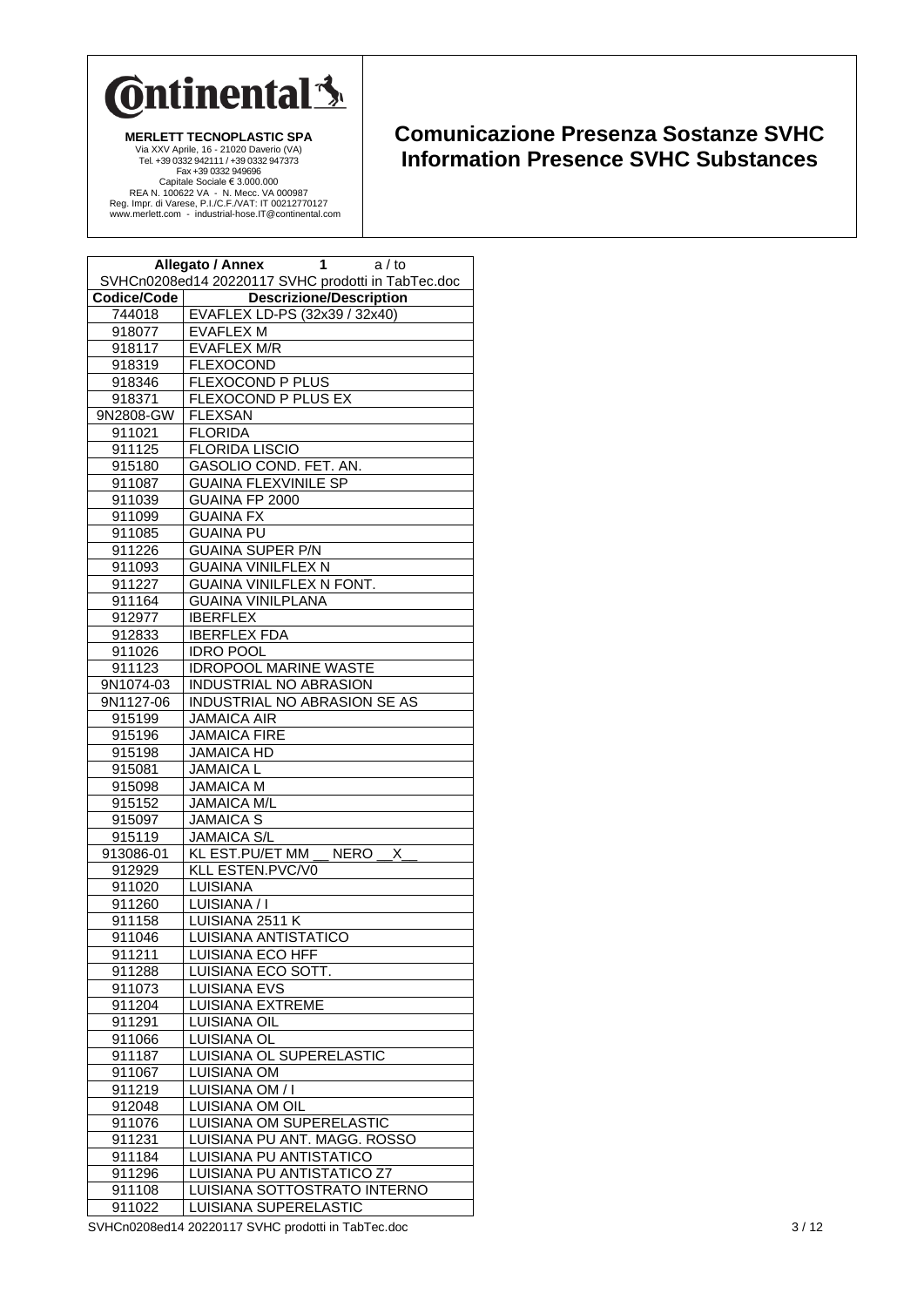

## **Comunicazione Presenza Sostanze SVHC Information Presence SVHC Substances**

|                  | <b>Allegato / Annex</b><br>1<br>a / to             |
|------------------|----------------------------------------------------|
|                  | SVHCn0208ed14 20220117 SVHC prodotti in TabTec.doc |
| Codice/Code      | <b>Descrizione/Description</b>                     |
| 744018           | EVAFLEX LD-PS (32x39 / 32x40)                      |
| 918077           | <b>EVAFLEX M</b>                                   |
| 918117           | <b>EVAFLEX M/R</b>                                 |
| 918319           | <b>FLEXOCOND</b>                                   |
| 918346           | FLEXOCOND P PLUS                                   |
| 918371           | FLEXOCOND P PLUS EX                                |
| 9N2808-GW        | <b>FLEXSAN</b>                                     |
| 911021           | <b>FLORIDA</b><br><b>FLORIDA LISCIO</b>            |
| 911125<br>915180 | GASOLIO COND. FET. AN.                             |
| 911087           | <b>GUAINA FLEXVINILE SP</b>                        |
| 911039           | GUAINA FP 2000                                     |
| 911099           | <b>GUAINA FX</b>                                   |
| 911085           | <b>GUAINA PU</b>                                   |
| 911226           | <b>GUAINA SUPER P/N</b>                            |
| 911093           | <b>GUAINA VINILFLEX N</b>                          |
| 911227           | GUAINA VINILFLEX N FONT.                           |
| 911164           | <b>GUAINA VINILPLANA</b>                           |
| 912977           | <b>IBERFLEX</b>                                    |
| 912833           | <b>IBERFLEX FDA</b>                                |
| 911026           | <b>IDRO POOL</b>                                   |
| 911123           | <b>IDROPOOL MARINE WASTE</b>                       |
| 9N1074-03        | INDUSTRIAL NO ABRASION                             |
| 9N1127-06        | INDUSTRIAL NO ABRASION SE AS                       |
| 915199           | <b>JAMAICA AIR</b>                                 |
| 915196           | <b>JAMAICA FIRE</b>                                |
| 915198           | <b>JAMAICA HD</b>                                  |
| 915081           | <b>JAMAICA L</b>                                   |
| 915098           | <b>JAMAICA M</b>                                   |
| 915152           | <b>JAMAICA M/L</b>                                 |
| 915097           | <b>JAMAICA S</b>                                   |
| 915119           | <b>JAMAICA S/L</b>                                 |
| 913086-01        | <b>NERO</b><br>Χ<br>KL EST.PU/ET MM                |
| 912929           | KLL ESTEN.PVC/V0                                   |
| 911020           | LUISIANA                                           |
| 911260           | LUISIANA / I                                       |
| 911158           | LUISIANA 2511 K                                    |
| 911046           | LUISIANA ANTISTATICO                               |
| 911211           | LUISIANA ECO HFF                                   |
| 911288           | LUISIANA ECO SOTT.                                 |
| 911073           | <b>LUISIANA EVS</b>                                |
| 911204           | LUISIANA EXTREME                                   |
| 911291           | <b>LUISIANA OIL</b>                                |
| 911066           | LUISIANA OL                                        |
| 911187           | LUISIANA OL SUPERELASTIC                           |
| 911067           | LUISIANA OM                                        |
| 911219           | LUISIANA OM / I                                    |
| 912048           | LUISIANA OM OIL                                    |
| 911076           | LUISIANA OM SUPERELASTIC                           |
| 911231           | LUISIANA PU ANT. MAGG. ROSSO                       |
| 911184           | LUISIANA PU ANTISTATICO                            |
| 911296           | LUISIANA PU ANTISTATICO Z7                         |
| 911108           | LUISIANA SOTTOSTRATO INTERNO                       |
| 911022           | LUISIANA SUPERELASTIC                              |

SVHCn0208ed14 20220117 SVHC prodotti in TabTec.doc 3/12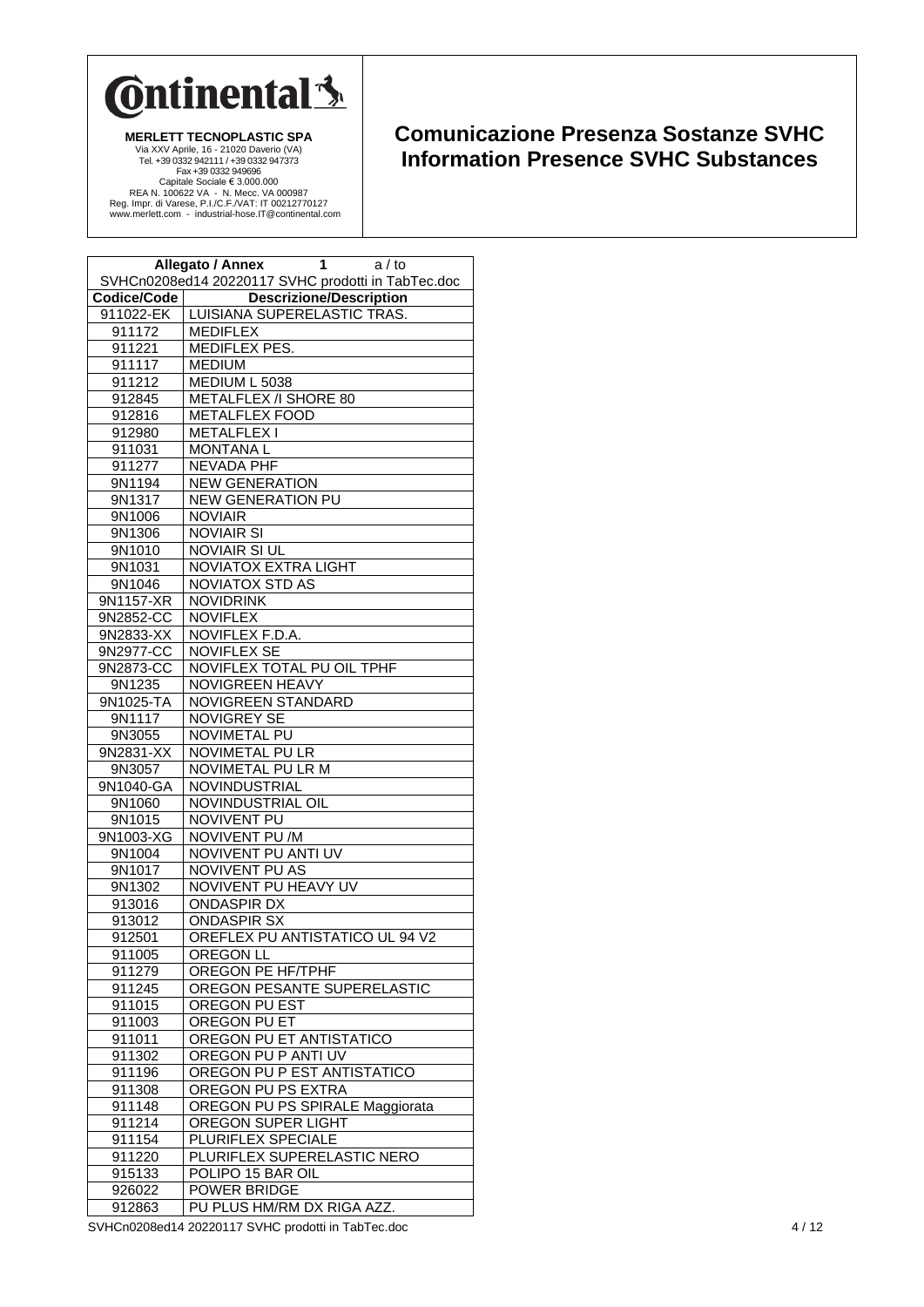

## **Comunicazione Presenza Sostanze SVHC Information Presence SVHC Substances**

|             | Allegato / Annex<br>1<br>a / to<br>SVHCn0208ed14 20220117 SVHC prodotti in TabTec.doc |
|-------------|---------------------------------------------------------------------------------------|
| Codice/Code | <b>Descrizione/Description</b>                                                        |
| 911022-EK   | LUISIANA SUPERELASTIC TRAS.                                                           |
| 911172      | <b>MEDIFLEX</b>                                                                       |
| 911221      | MEDIFLEX PES.                                                                         |
| 911117      | <b>MEDIUM</b>                                                                         |
| 911212      | MEDIUM L 5038                                                                         |
| 912845      | METALFLEX /I SHORE 80                                                                 |
| 912816      | <b>METALFLEX FOOD</b>                                                                 |
| 912980      | <b>METALFLEX1</b>                                                                     |
| 911031      | <b>MONTANAL</b>                                                                       |
| 911277      | <b>NEVADA PHF</b>                                                                     |
| 9N1194      | <b>NEW GENERATION</b>                                                                 |
| 9N1317      | <b>NEW GENERATION PU</b>                                                              |
| 9N1006      | <b>NOVIAIR</b>                                                                        |
| 9N1306      | <b>NOVIAIR SI</b>                                                                     |
| 9N1010      | <b>NOVIAIR SI UL</b>                                                                  |
| 9N1031      | <b>NOVIATOX EXTRA LIGHT</b>                                                           |
| 9N1046      | <b>NOVIATOX STD AS</b>                                                                |
| 9N1157-XR   | <b>NOVIDRINK</b>                                                                      |
| 9N2852-CC   | <b>NOVIFLEX</b>                                                                       |
| 9N2833-XX   | NOVIFLEX F.D.A.                                                                       |
| 9N2977-CC   | <b>NOVIFLEX SE</b>                                                                    |
| 9N2873-CC   | <b>NOVIFLEX TOTAL PU OIL TPHF</b>                                                     |
| 9N1235      | <b>NOVIGREEN HEAVY</b>                                                                |
| 9N1025-TA   | NOVIGREEN STANDARD                                                                    |
| 9N1117      | NOVIGREY SE                                                                           |
| 9N3055      | NOVIMETAL PU                                                                          |
| 9N2831-XX   | NOVIMETAL PU LR                                                                       |
| 9N3057      | NOVIMETAL PU LR M                                                                     |
| 9N1040-GA   | NOVINDUSTRIAL                                                                         |
| 9N1060      | NOVINDUSTRIAL OIL                                                                     |
| 9N1015      | <b>NOVIVENT PU</b>                                                                    |
| 9N1003-XG   | NOVIVENT PU /M                                                                        |
| 9N1004      | NOVIVENT PU ANTI UV                                                                   |
| 9N1017      | <b>NOVIVENT PU AS</b>                                                                 |
| 9N1302      | NOVIVENT PU HEAVY UV                                                                  |
| 913016      | <b>ONDASPIR DX</b>                                                                    |
| 913012      | <b>ONDASPIR SX</b>                                                                    |
| 912501      | OREFLEX PU ANTISTATICO UL 94 V2                                                       |
| 911005      | OREGON LL                                                                             |
| 911279      | OREGON PE HF/TPHF                                                                     |
| 911245      | OREGON PESANTE SUPERELASTIC                                                           |
| 911015      | OREGON PU EST                                                                         |
| 911003      | OREGON PU ET                                                                          |
| 911011      | OREGON PU ET ANTISTATICO                                                              |
| 911302      | OREGON PU P ANTI UV                                                                   |
| 911196      | OREGON PU P EST ANTISTATICO                                                           |
| 911308      | OREGON PU PS EXTRA                                                                    |
| 911148      | OREGON PU PS SPIRALE Maggiorata                                                       |
| 911214      | OREGON SUPER LIGHT                                                                    |
| 911154      | PLURIFLEX SPECIALE                                                                    |
| 911220      | PLURIFLEX SUPERELASTIC NERO                                                           |
| 915133      | POLIPO 15 BAR OIL                                                                     |
| 926022      | POWER BRIDGE                                                                          |
| 912863      | PU PLUS HM/RM DX RIGA AZZ.                                                            |

SVHCn0208ed14 20220117 SVHC prodotti in TabTec.doc 4/12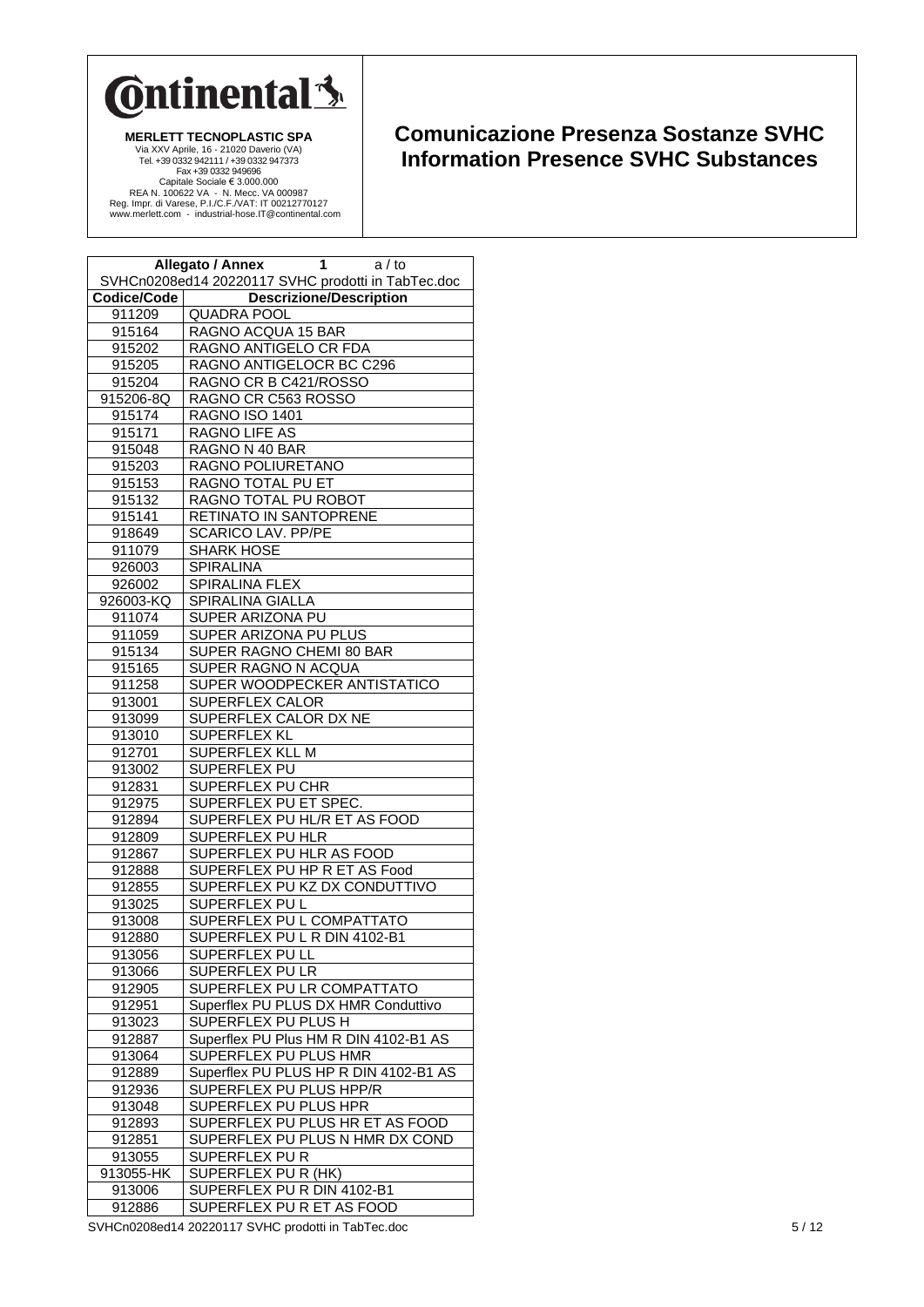

## **Comunicazione Presenza Sostanze SVHC Information Presence SVHC Substances**

|             | Allegato / Annex<br>1<br>a / to<br>SVHCn0208ed14 20220117 SVHC prodotti in TabTec.doc |
|-------------|---------------------------------------------------------------------------------------|
| Codice/Code | <b>Descrizione/Description</b>                                                        |
| 911209      | <b>QUADRA POOL</b>                                                                    |
| 915164      | RAGNO ACQUA 15 BAR                                                                    |
| 915202      | RAGNO ANTIGELO CR FDA                                                                 |
| 915205      | RAGNO ANTIGELOCR BC C296                                                              |
| 915204      | RAGNO CR B C421/ROSSO                                                                 |
| 915206-8Q   | RAGNO CR C563 ROSSO                                                                   |
| 915174      | RAGNO ISO 1401                                                                        |
| 915171      | RAGNO LIFE AS                                                                         |
| 915048      | RAGNO N 40 BAR                                                                        |
| 915203      | RAGNO POLIURETANO                                                                     |
| 915153      | RAGNO TOTAL PU ET                                                                     |
| 915132      | RAGNO TOTAL PU ROBOT                                                                  |
| 915141      | RETINATO IN SANTOPRENE                                                                |
| 918649      | SCARICO LAV. PP/PE                                                                    |
| 911079      | <b>SHARK HOSE</b>                                                                     |
| 926003      | <b>SPIRALINA</b>                                                                      |
| 926002      | SPIRALINA FLEX                                                                        |
| 926003-KQ   | SPIRALINA GIALLA                                                                      |
| 911074      | SUPER ARIZONA PU                                                                      |
| 911059      | SUPER ARIZONA PU PLUS                                                                 |
| 915134      | SUPER RAGNO CHEMI 80 BAR                                                              |
| 915165      | SUPER RAGNO N ACQUA                                                                   |
| 911258      | SUPER WOODPECKER ANTISTATICO                                                          |
| 913001      | SUPERFLEX CALOR                                                                       |
| 913099      | SUPERFLEX CALOR DX NE                                                                 |
| 913010      | SUPERFLEX KL                                                                          |
| 912701      | SUPERFLEX KLL M                                                                       |
| 913002      | SUPERFLEX PU                                                                          |
| 912831      | SUPERFLEX PU CHR                                                                      |
| 912975      | SUPERFLEX PU ET SPEC.                                                                 |
| 912894      | SUPERFLEX PU HL/R ET AS FOOD                                                          |
| 912809      | SUPERFLEX PU HLR                                                                      |
| 912867      | SUPERFLEX PU HLR AS FOOD                                                              |
| 912888      | SUPERFLEX PU HP R ET AS Food                                                          |
| 912855      | SUPERFLEX PU KZ DX CONDUTTIVO                                                         |
| 913025      | SUPERFLEX PUL                                                                         |
| 913008      | SUPERFLEX PU L COMPATTATO                                                             |
| 912880      | SUPERFLEX PU L R DIN 4102-B1                                                          |
| 913056      | SUPERFLEX PU LL                                                                       |
| 913066      | SUPERFLEX PU LR                                                                       |
| 912905      | SUPERFLEX PU LR COMPATTATO                                                            |
| 912951      | Superflex PU PLUS DX HMR Conduttivo                                                   |
| 913023      | <b>SUPERFLEX PU PLUS H</b>                                                            |
| 912887      | Superflex PU Plus HM R DIN 4102-B1 AS                                                 |
| 913064      | SUPERFLEX PU PLUS HMR                                                                 |
| 912889      | Superflex PU PLUS HP R DIN 4102-B1 AS                                                 |
| 912936      | SUPERFLEX PU PLUS HPP/R                                                               |
| 913048      | SUPERFLEX PU PLUS HPR                                                                 |
| 912893      | SUPERFLEX PU PLUS HR ET AS FOOD                                                       |
| 912851      | SUPERFLEX PU PLUS N HMR DX COND                                                       |
| 913055      | SUPERFLEX PUR                                                                         |
| 913055-HK   | SUPERFLEX PU R (HK)                                                                   |
| 913006      | SUPERFLEX PU R DIN 4102-B1                                                            |
| 912886      | SUPERFLEX PU R ET AS FOOD                                                             |

SVHCn0208ed14 20220117 SVHC prodotti in TabTec.doc 5 / 12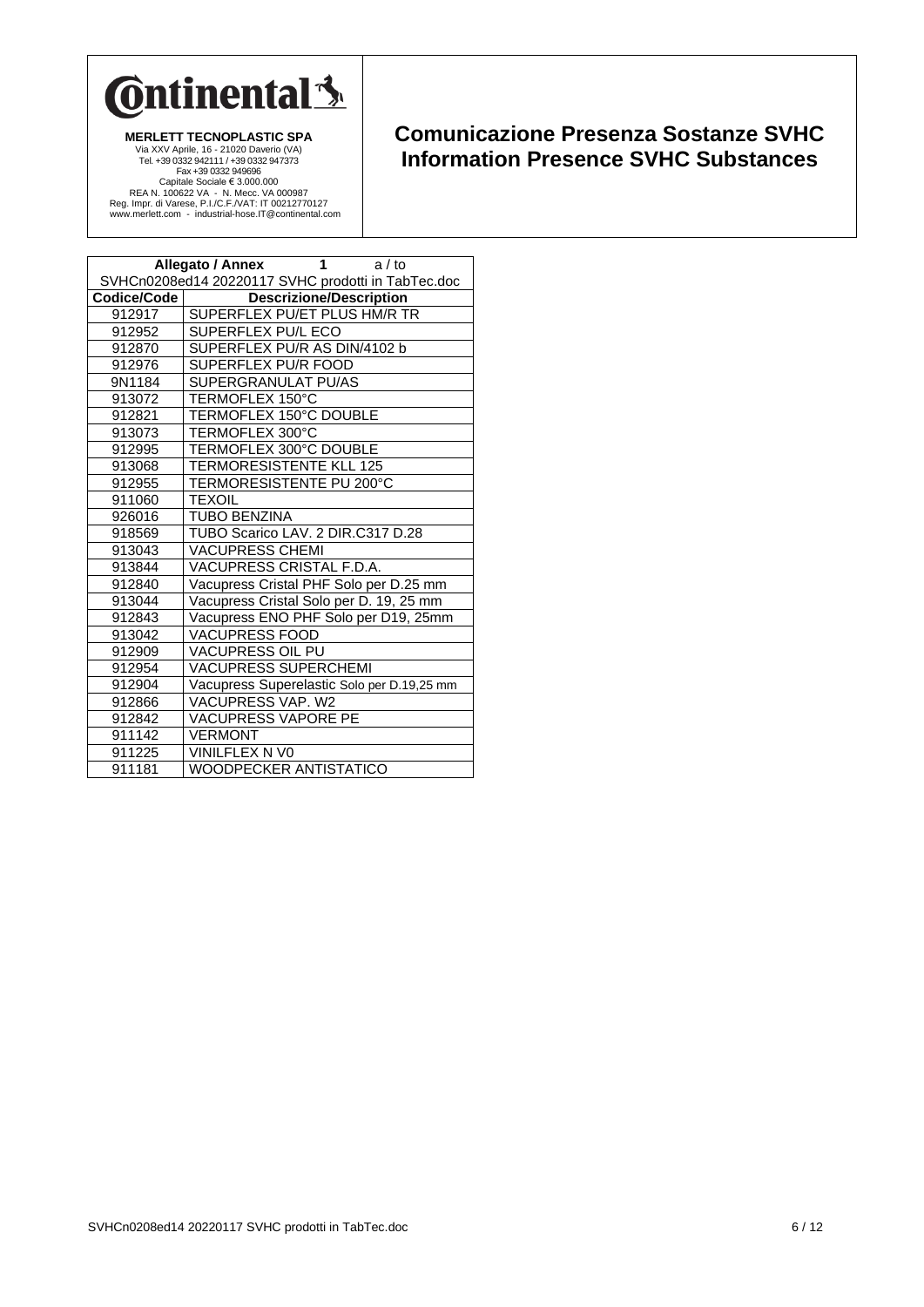

| 1<br><b>Allegato / Annex</b><br>$a/t$ o            |                                            |
|----------------------------------------------------|--------------------------------------------|
| SVHCn0208ed14 20220117 SVHC prodotti in TabTec.doc |                                            |
| Codice/Code                                        | <b>Descrizione/Description</b>             |
| 912917                                             | SUPERFLEX PU/ET PLUS HM/R TR               |
| 912952                                             | SUPERFLEX PU/L ECO                         |
| 912870                                             | SUPERFLEX PU/R AS DIN/4102 b               |
| 912976                                             | SUPERFLEX PU/R FOOD                        |
| 9N1184                                             | SUPERGRANULAT PU/AS                        |
| 913072                                             | TERMOFLEX 150°C                            |
| 912821                                             | TERMOFLEX 150°C DOUBLE                     |
| 913073                                             | TERMOFLEX 300°C                            |
| 912995                                             | TERMOFLEX 300°C DOUBLE                     |
| 913068                                             | TERMORESISTENTE KLL 125                    |
| 912955                                             | TERMORESISTENTE PU 200°C                   |
| 911060                                             | <b>TEXOIL</b>                              |
| 926016                                             | <b>TUBO BENZINA</b>                        |
| 918569                                             | TUBO Scarico LAV. 2 DIR.C317 D.28          |
| 913043                                             | <b>VACUPRESS CHEMI</b>                     |
| 913844                                             | VACUPRESS CRISTAL F.D.A.                   |
| 912840                                             | Vacupress Cristal PHF Solo per D.25 mm     |
| 913044                                             | Vacupress Cristal Solo per D. 19, 25 mm    |
| 912843                                             | Vacupress ENO PHF Solo per D19, 25mm       |
| 913042                                             | <b>VACUPRESS FOOD</b>                      |
| 912909                                             | <b>VACUPRESS OIL PU</b>                    |
| 912954                                             | <b>VACUPRESS SUPERCHEMI</b>                |
| 912904                                             | Vacupress Superelastic Solo per D.19,25 mm |
| 912866                                             | VACUPRESS VAP. W2                          |
| 912842                                             | <b>VACUPRESS VAPORE PE</b>                 |
| 911142                                             | <b>VERMONT</b>                             |
| 911225                                             | VINILFLEX N VO                             |
| 911181                                             | WOODPECKER ANTISTATICO                     |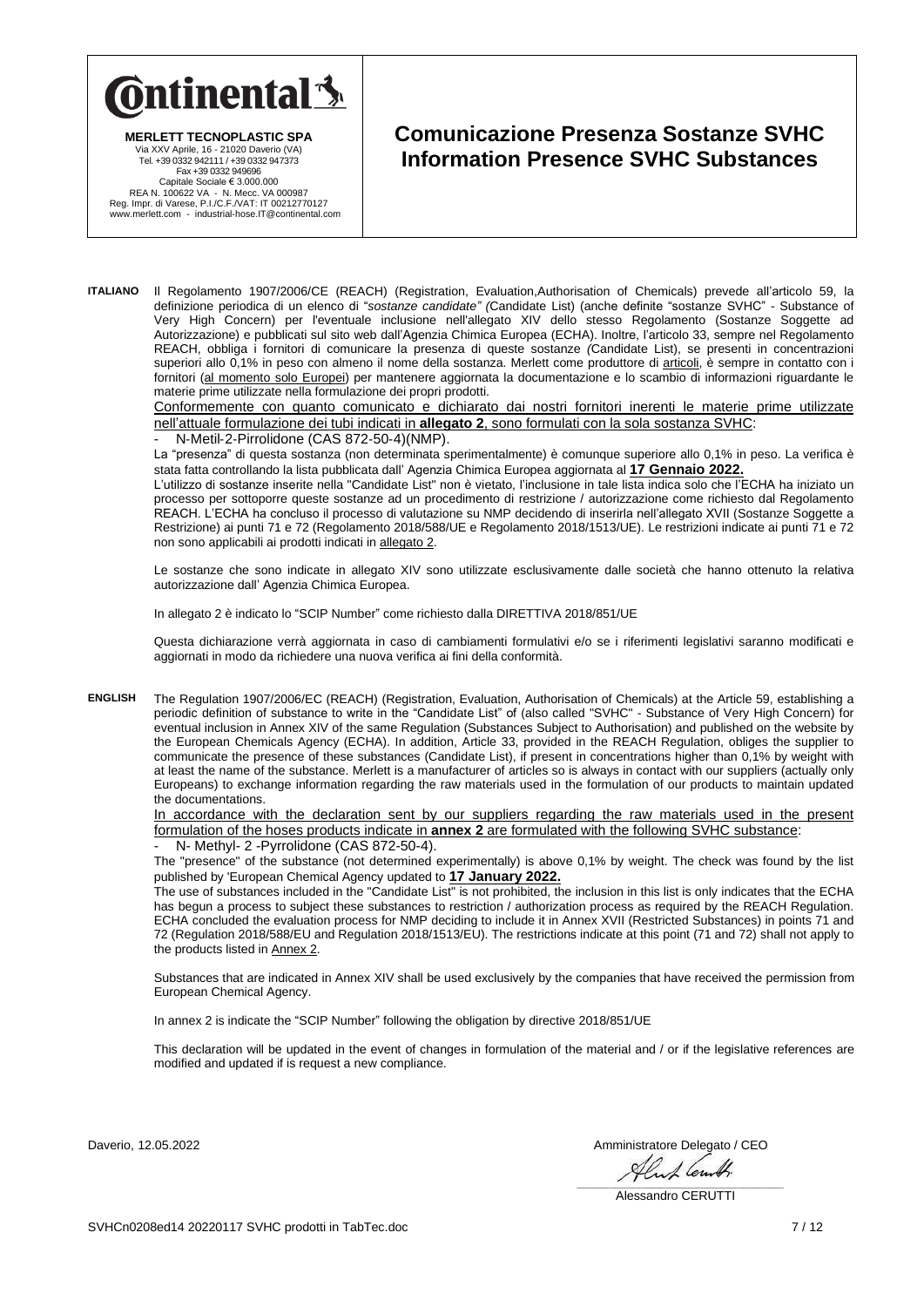

**MERLETT TECNOPLASTIC SPA**

**Comunicazione Presenza Sostanze SVHC Information Presence SVHC Substances**

Via XXV Aprile, 16 - 21020 Daverio (VA) Tel. +39 0332 942111 / +39 0332 947373 Fax +39 0332 949696 Capitale Sociale € 3.000.000<br>REA N. 100622 VA - N. Mecc. VA 000987<br>Reg. Impr. di Varese, P.I./C.F./VAT: IT 00212770127<br>www.merlett.com - industrial-hose.IT@continental.com

**ITALIANO** Il Regolamento 1907/2006/CE (REACH) (Registration, Evaluation,Authorisation of Chemicals) prevede all'articolo 59, la definizione periodica di un elenco di "*sostanze candidate" (*Candidate List) (anche definite "sostanze SVHC" - Substance of Very High Concern) per l'eventuale inclusione nell'allegato XIV dello stesso Regolamento (Sostanze Soggette ad Autorizzazione) e pubblicati sul sito web dall'Agenzia Chimica Europea (ECHA). Inoltre, l'articolo 33, sempre nel Regolamento REACH, obbliga i fornitori di comunicare la presenza di queste sostanze *(*Candidate List), se presenti in concentrazioni superiori allo 0,1% in peso con almeno il nome della sostanza. Merlett come produttore di articoli, è sempre in contatto con i fornitori (al momento solo Europei) per mantenere aggiornata la documentazione e lo scambio di informazioni riguardante le materie prime utilizzate nella formulazione dei propri prodotti.

Conformemente con quanto comunicato e dichiarato dai nostri fornitori inerenti le materie prime utilizzate nell'attuale formulazione dei tubi indicati in **allegato 2**, sono formulati con la sola sostanza SVHC:

- N‐Metil‐2‐Pirrolidone (CAS 872‐50‐4)(NMP).

La "presenza" di questa sostanza (non determinata sperimentalmente) è comunque superiore allo 0,1% in peso. La verifica è stata fatta controllando la lista pubblicata dall' Agenzia Chimica Europea aggiornata al **17 Gennaio 2022.**

L'utilizzo di sostanze inserite nella "Candidate List" non è vietato, l'inclusione in tale lista indica solo che l'ECHA ha iniziato un processo per sottoporre queste sostanze ad un procedimento di restrizione / autorizzazione come richiesto dal Regolamento REACH. L'ECHA ha concluso il processo di valutazione su NMP decidendo di inserirla nell'allegato XVII (Sostanze Soggette a Restrizione) ai punti 71 e 72 (Regolamento 2018/588/UE e Regolamento 2018/1513/UE). Le restrizioni indicate ai punti 71 e 72 non sono applicabili ai prodotti indicati in allegato 2.

Le sostanze che sono indicate in allegato XIV sono utilizzate esclusivamente dalle società che hanno ottenuto la relativa autorizzazione dall' Agenzia Chimica Europea.

In allegato 2 è indicato lo "SCIP Number" come richiesto dalla DIRETTIVA 2018/851/UE

Questa dichiarazione verrà aggiornata in caso di cambiamenti formulativi e/o se i riferimenti legislativi saranno modificati e aggiornati in modo da richiedere una nuova verifica ai fini della conformità.

**ENGLISH** The Regulation 1907/2006/EC (REACH) (Registration, Evaluation, Authorisation of Chemicals) at the Article 59, establishing a periodic definition of substance to write in the "Candidate List" of (also called "SVHC" - Substance of Very High Concern) for eventual inclusion in Annex XIV of the same Regulation (Substances Subject to Authorisation) and published on the website by the European Chemicals Agency (ECHA). In addition, Article 33, provided in the REACH Regulation, obliges the supplier to communicate the presence of these substances (Candidate List), if present in concentrations higher than 0,1% by weight with at least the name of the substance. Merlett is a manufacturer of articles so is always in contact with our suppliers (actually only Europeans) to exchange information regarding the raw materials used in the formulation of our products to maintain updated the documentations.

In accordance with the declaration sent by our suppliers regarding the raw materials used in the present formulation of the hoses products indicate in **annex 2** are formulated with the following SVHC substance: N- Methyl- 2 - Pyrrolidone (CAS 872-50-4).

The "presence" of the substance (not determined experimentally) is above 0,1% by weight. The check was found by the list published by 'European Chemical Agency updated to **17 January 2022.**

The use of substances included in the "Candidate List" is not prohibited, the inclusion in this list is only indicates that the ECHA has begun a process to subject these substances to restriction / authorization process as required by the REACH Regulation. ECHA concluded the evaluation process for NMP deciding to include it in Annex XVII (Restricted Substances) in points 71 and 72 (Regulation 2018/588/EU and Regulation 2018/1513/EU). The restrictions indicate at this point (71 and 72) shall not apply to the products listed in Annex 2.

Substances that are indicated in Annex XIV shall be used exclusively by the companies that have received the permission from European Chemical Agency.

In annex 2 is indicate the "SCIP Number" following the obligation by directive 2018/851/UE

This declaration will be updated in the event of changes in formulation of the material and / or if the legislative references are modified and updated if is request a new compliance.

Daverio, 12.05.2022<br>Amministratore Delegato / CEO<br>Alexander del Santo March 2007

\_\_\_\_\_\_\_\_\_\_\_\_\_\_\_\_\_\_\_\_\_\_\_\_\_\_\_\_\_\_\_\_\_\_\_\_\_\_\_\_\_\_\_\_\_\_\_\_\_\_\_\_\_\_\_\_\_\_\_\_ Alessandro CERUTTI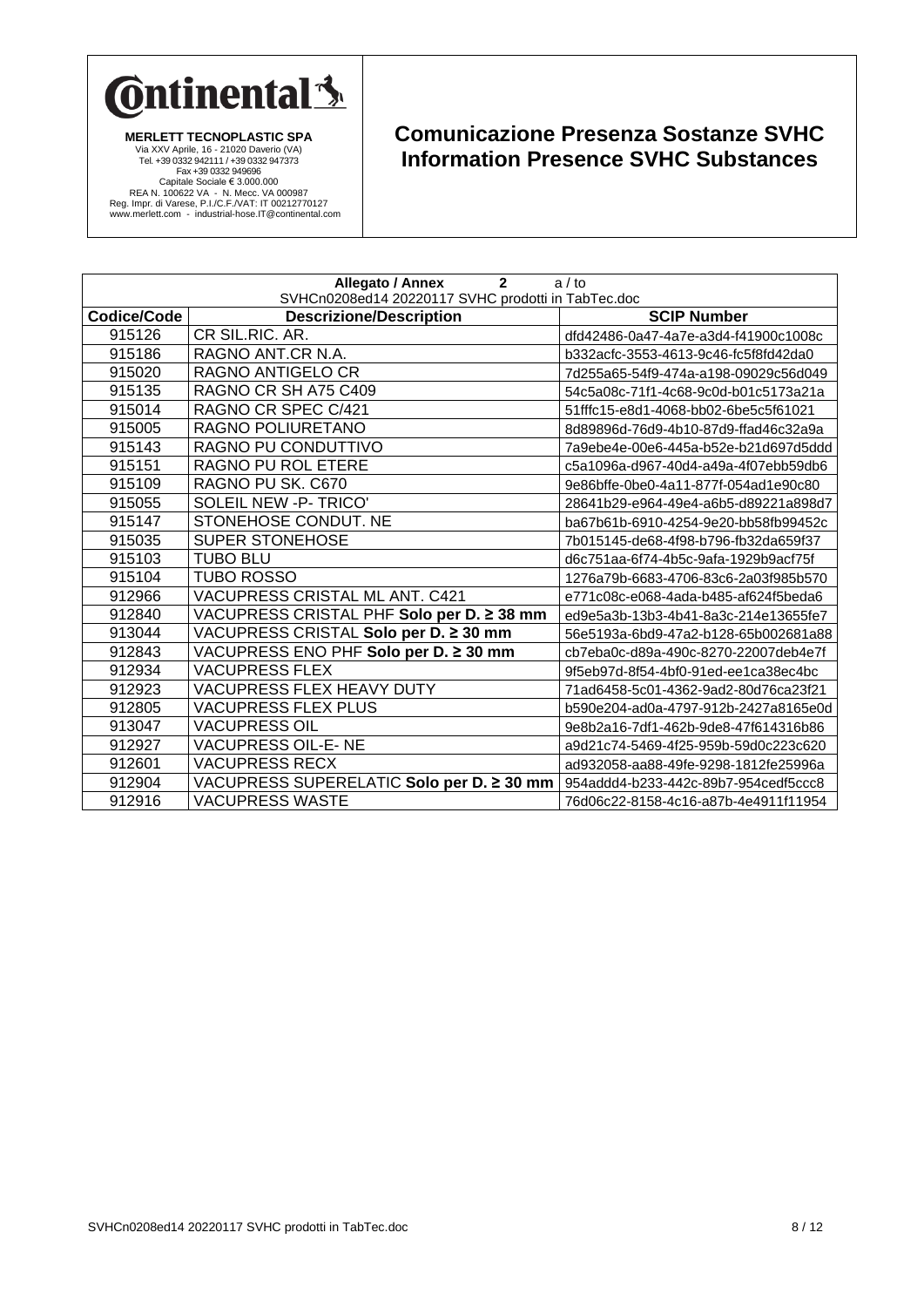

| Allegato / Annex<br>$\overline{2}$<br>a / to<br>SVHCn0208ed14 20220117 SVHC prodotti in TabTec.doc |                                           |                                      |
|----------------------------------------------------------------------------------------------------|-------------------------------------------|--------------------------------------|
| <b>Codice/Code</b>                                                                                 | <b>Descrizione/Description</b>            | <b>SCIP Number</b>                   |
| 915126                                                                                             | CR SIL.RIC. AR.                           | dfd42486-0a47-4a7e-a3d4-f41900c1008c |
| 915186                                                                                             | RAGNO ANT.CR N.A.                         | b332acfc-3553-4613-9c46-fc5f8fd42da0 |
| 915020                                                                                             | RAGNO ANTIGELO CR                         | 7d255a65-54f9-474a-a198-09029c56d049 |
| 915135                                                                                             | RAGNO CR SH A75 C409                      | 54c5a08c-71f1-4c68-9c0d-b01c5173a21a |
| 915014                                                                                             | RAGNO CR SPEC C/421                       | 51fffc15-e8d1-4068-bb02-6be5c5f61021 |
| 915005                                                                                             | RAGNO POLIURETANO                         | 8d89896d-76d9-4b10-87d9-ffad46c32a9a |
| 915143                                                                                             | RAGNO PU CONDUTTIVO                       | 7a9ebe4e-00e6-445a-b52e-b21d697d5ddd |
| 915151                                                                                             | RAGNO PU ROL ETERE                        | c5a1096a-d967-40d4-a49a-4f07ebb59db6 |
| 915109                                                                                             | RAGNO PU SK. C670                         | 9e86bffe-0be0-4a11-877f-054ad1e90c80 |
| 915055                                                                                             | SOLEIL NEW -P- TRICO'                     | 28641b29-e964-49e4-a6b5-d89221a898d7 |
| 915147                                                                                             | STONEHOSE CONDUT. NE                      | ba67b61b-6910-4254-9e20-bb58fb99452c |
| 915035                                                                                             | <b>SUPER STONEHOSE</b>                    | 7b015145-de68-4f98-b796-fb32da659f37 |
| 915103                                                                                             | <b>TUBO BLU</b>                           | d6c751aa-6f74-4b5c-9afa-1929b9acf75f |
| 915104                                                                                             | <b>TUBO ROSSO</b>                         | 1276a79b-6683-4706-83c6-2a03f985b570 |
| 912966                                                                                             | VACUPRESS CRISTAL ML ANT. C421            | e771c08c-e068-4ada-b485-af624f5beda6 |
| 912840                                                                                             | VACUPRESS CRISTAL PHF Solo per D. ≥ 38 mm | ed9e5a3b-13b3-4b41-8a3c-214e13655fe7 |
| 913044                                                                                             | VACUPRESS CRISTAL Solo per D. ≥ 30 mm     | 56e5193a-6bd9-47a2-b128-65b002681a88 |
| 912843                                                                                             | VACUPRESS ENO PHF Solo per D. ≥ 30 mm     | cb7eba0c-d89a-490c-8270-22007deb4e7f |
| 912934                                                                                             | <b>VACUPRESS FLEX</b>                     | 9f5eb97d-8f54-4bf0-91ed-ee1ca38ec4bc |
| 912923                                                                                             | <b>VACUPRESS FLEX HEAVY DUTY</b>          | 71ad6458-5c01-4362-9ad2-80d76ca23f21 |
| 912805                                                                                             | <b>VACUPRESS FLEX PLUS</b>                | b590e204-ad0a-4797-912b-2427a8165e0d |
| 913047                                                                                             | <b>VACUPRESS OIL</b>                      | 9e8b2a16-7df1-462b-9de8-47f614316b86 |
| 912927                                                                                             | <b>VACUPRESS OIL-E-NE</b>                 | a9d21c74-5469-4f25-959b-59d0c223c620 |
| 912601                                                                                             | <b>VACUPRESS RECX</b>                     | ad932058-aa88-49fe-9298-1812fe25996a |
| 912904                                                                                             | VACUPRESS SUPERELATIC Solo per D. ≥ 30 mm | 954addd4-b233-442c-89b7-954cedf5ccc8 |
| 912916                                                                                             | <b>VACUPRESS WASTE</b>                    | 76d06c22-8158-4c16-a87b-4e4911f11954 |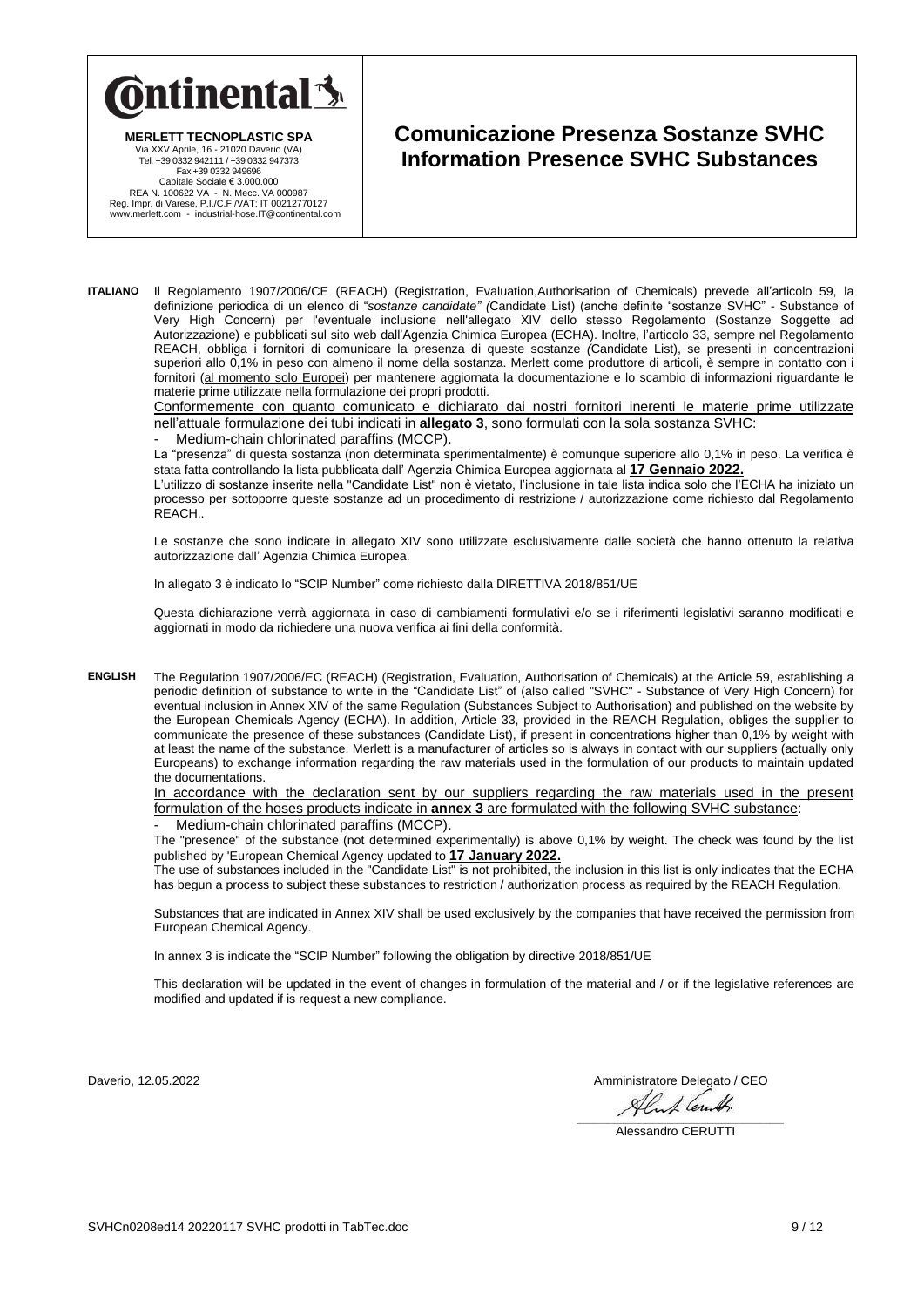

**MERLETT TECNOPLASTIC SPA**

**Comunicazione Presenza Sostanze SVHC Information Presence SVHC Substances**

Via XXV Aprile, 16 - 21020 Daverio (VA) Tel. +39 0332 942111 / +39 0332 947373 Fax +39 0332 949696 Capitale Sociale € 3.000.000<br>REA N. 100622 VA - N. Mecc. VA 000987<br>Reg. Impr. di Varese, P.I./C.F./VAT: IT 00212770127<br>www.merlett.com - industrial-hose.IT@continental.com

**ITALIANO** Il Regolamento 1907/2006/CE (REACH) (Registration, Evaluation,Authorisation of Chemicals) prevede all'articolo 59, la definizione periodica di un elenco di "*sostanze candidate" (*Candidate List) (anche definite "sostanze SVHC" - Substance of Very High Concern) per l'eventuale inclusione nell'allegato XIV dello stesso Regolamento (Sostanze Soggette ad Autorizzazione) e pubblicati sul sito web dall'Agenzia Chimica Europea (ECHA). Inoltre, l'articolo 33, sempre nel Regolamento REACH, obbliga i fornitori di comunicare la presenza di queste sostanze *(*Candidate List), se presenti in concentrazioni superiori allo 0,1% in peso con almeno il nome della sostanza. Merlett come produttore di articoli, è sempre in contatto con i fornitori (al momento solo Europei) per mantenere aggiornata la documentazione e lo scambio di informazioni riguardante le materie prime utilizzate nella formulazione dei propri prodotti.

Conformemente con quanto comunicato e dichiarato dai nostri fornitori inerenti le materie prime utilizzate nell'attuale formulazione dei tubi indicati in **allegato 3**, sono formulati con la sola sostanza SVHC:

Medium-chain chlorinated paraffins (MCCP).

La "presenza" di questa sostanza (non determinata sperimentalmente) è comunque superiore allo 0,1% in peso. La verifica è stata fatta controllando la lista pubblicata dall' Agenzia Chimica Europea aggiornata al **17 Gennaio 2022.**

L'utilizzo di sostanze inserite nella "Candidate List" non è vietato, l'inclusione in tale lista indica solo che l'ECHA ha iniziato un processo per sottoporre queste sostanze ad un procedimento di restrizione / autorizzazione come richiesto dal Regolamento REACH..

Le sostanze che sono indicate in allegato XIV sono utilizzate esclusivamente dalle società che hanno ottenuto la relativa autorizzazione dall' Agenzia Chimica Europea.

In allegato 3 è indicato lo "SCIP Number" come richiesto dalla DIRETTIVA 2018/851/UE

Questa dichiarazione verrà aggiornata in caso di cambiamenti formulativi e/o se i riferimenti legislativi saranno modificati e aggiornati in modo da richiedere una nuova verifica ai fini della conformità.

**ENGLISH** The Regulation 1907/2006/EC (REACH) (Registration, Evaluation, Authorisation of Chemicals) at the Article 59, establishing a periodic definition of substance to write in the "Candidate List" of (also called "SVHC" - Substance of Very High Concern) for eventual inclusion in Annex XIV of the same Regulation (Substances Subject to Authorisation) and published on the website by the European Chemicals Agency (ECHA). In addition, Article 33, provided in the REACH Regulation, obliges the supplier to communicate the presence of these substances (Candidate List), if present in concentrations higher than 0,1% by weight with at least the name of the substance. Merlett is a manufacturer of articles so is always in contact with our suppliers (actually only Europeans) to exchange information regarding the raw materials used in the formulation of our products to maintain updated the documentations.

In accordance with the declaration sent by our suppliers regarding the raw materials used in the present formulation of the hoses products indicate in **annex 3** are formulated with the following SVHC substance: Medium-chain chlorinated paraffins (MCCP).

The "presence" of the substance (not determined experimentally) is above 0,1% by weight. The check was found by the list published by 'European Chemical Agency updated to **17 January 2022.**

The use of substances included in the "Candidate List" is not prohibited, the inclusion in this list is only indicates that the ECHA has begun a process to subject these substances to restriction / authorization process as required by the REACH Regulation.

Substances that are indicated in Annex XIV shall be used exclusively by the companies that have received the permission from European Chemical Agency.

In annex 3 is indicate the "SCIP Number" following the obligation by directive 2018/851/UE

This declaration will be updated in the event of changes in formulation of the material and / or if the legislative references are modified and updated if is request a new compliance.

Daverio, 12.05.2022<br>Amministratore Delegato / CEO<br>Alimate in the second of the second of the second of the second of the second of the second of the second second second second second second second second second second sec

\_\_\_\_\_\_\_\_\_\_\_\_\_\_\_\_\_\_\_\_\_\_\_\_\_\_\_\_\_\_\_\_\_\_\_\_\_\_\_\_\_\_\_\_\_\_\_\_\_\_\_\_\_\_\_\_\_\_\_\_ Alessandro CERUTTI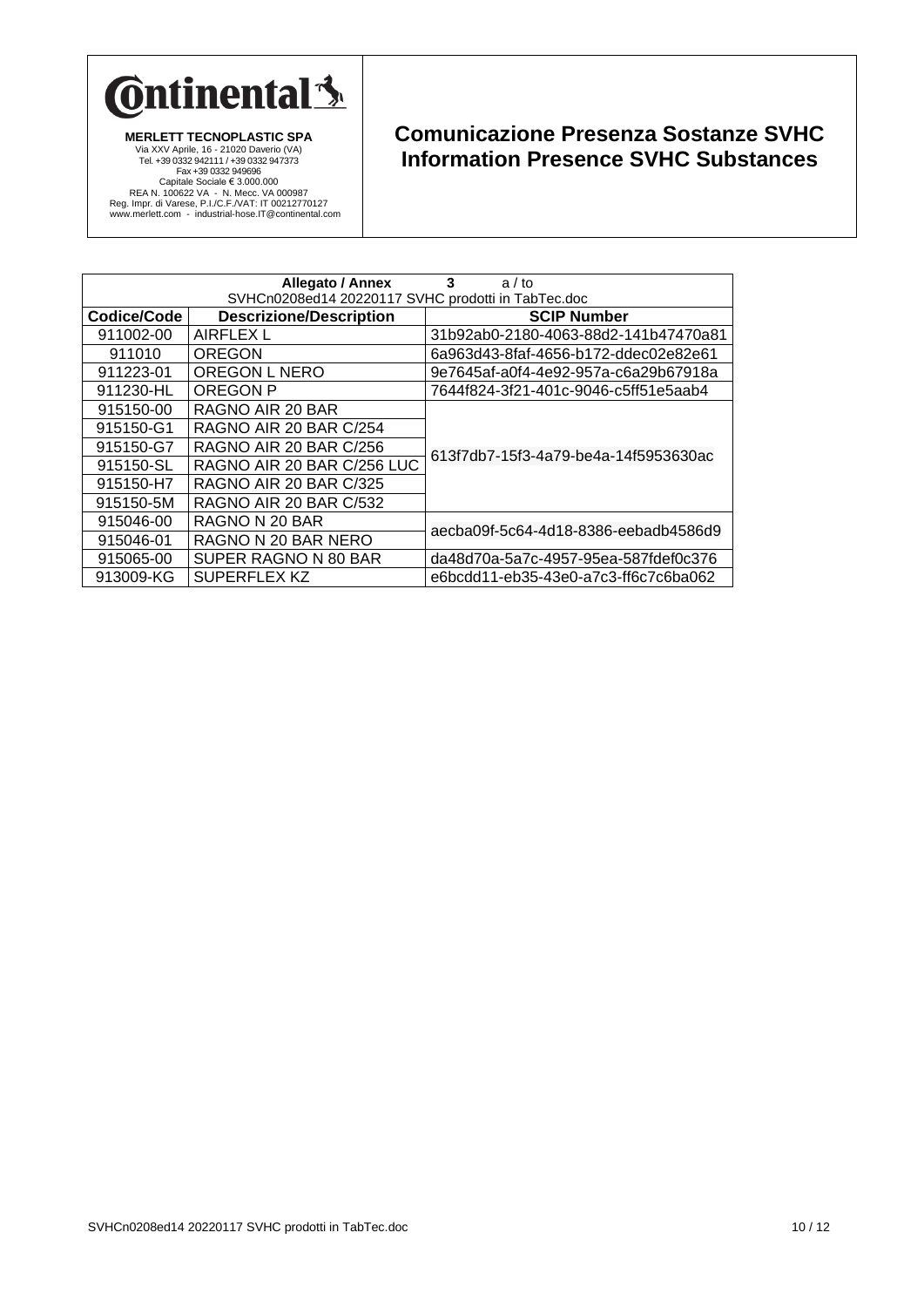

|                                                    | <b>Allegato / Annex</b>        | 3<br>a/to                            |  |
|----------------------------------------------------|--------------------------------|--------------------------------------|--|
| SVHCn0208ed14 20220117 SVHC prodotti in TabTec.doc |                                |                                      |  |
| Codice/Code                                        | <b>Descrizione/Description</b> | <b>SCIP Number</b>                   |  |
| 911002-00                                          | AIRFLEX L                      | 31b92ab0-2180-4063-88d2-141b47470a81 |  |
| 911010                                             | <b>OREGON</b>                  | 6a963d43-8faf-4656-b172-ddec02e82e61 |  |
| 911223-01                                          | OREGON L NERO                  | 9e7645af-a0f4-4e92-957a-c6a29b67918a |  |
| 911230-HL                                          | OREGON P                       | 7644f824-3f21-401c-9046-c5ff51e5aab4 |  |
| 915150-00                                          | RAGNO AIR 20 BAR               |                                      |  |
| 915150-G1                                          | RAGNO AIR 20 BAR C/254         |                                      |  |
| 915150-G7                                          | RAGNO AIR 20 BAR C/256         | 613f7db7-15f3-4a79-be4a-14f5953630ac |  |
| 915150-SL                                          | RAGNO AIR 20 BAR C/256 LUC     |                                      |  |
| 915150-H7                                          | RAGNO AIR 20 BAR C/325         |                                      |  |
| 915150-5M                                          | RAGNO AIR 20 BAR C/532         |                                      |  |
| 915046-00                                          | RAGNO N 20 BAR                 | aecba09f-5c64-4d18-8386-eebadb4586d9 |  |
| 915046-01                                          | RAGNO N 20 BAR NERO            |                                      |  |
| 915065-00                                          | SUPER RAGNO N 80 BAR           | da48d70a-5a7c-4957-95ea-587fdef0c376 |  |
| 913009-KG                                          | SUPERFLEX KZ                   | e6bcdd11-eb35-43e0-a7c3-ff6c7c6ba062 |  |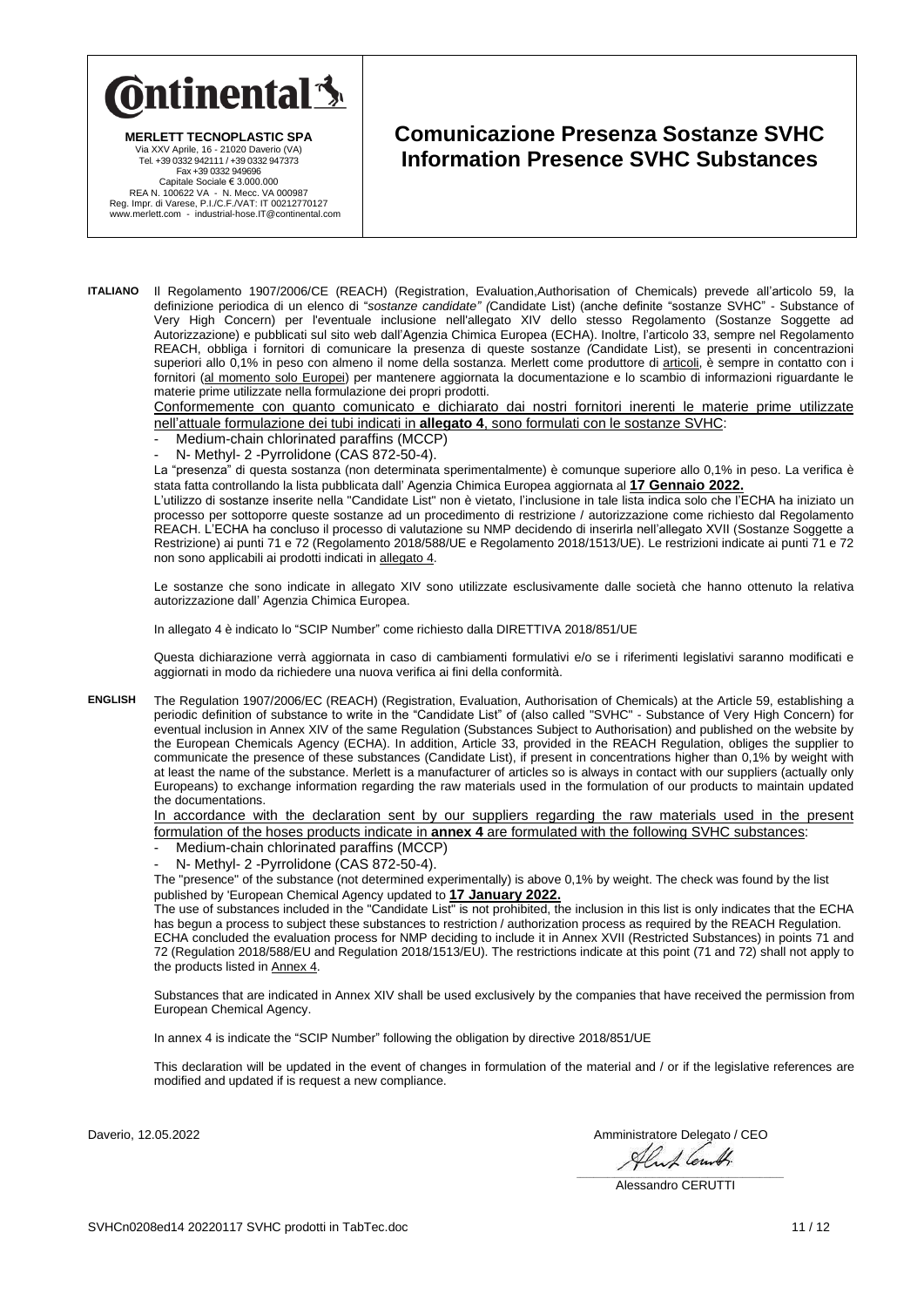

**MERLETT TECNOPLASTIC SPA**

**Comunicazione Presenza Sostanze SVHC Information Presence SVHC Substances**

Via XXV Aprile, 16 - 21020 Daverio (VA) Tel. +39 0332 942111 / +39 0332 947373 Fax +39 0332 949696 Capitale Sociale € 3.000.000<br>REA N. 100622 VA - N. Mecc. VA 000987<br>Reg. Impr. di Varese, P.I./C.F./VAT: IT 00212770127<br>www.merlett.com - industrial-hose.IT@continental.com

**ITALIANO** Il Regolamento 1907/2006/CE (REACH) (Registration, Evaluation,Authorisation of Chemicals) prevede all'articolo 59, la definizione periodica di un elenco di "*sostanze candidate" (*Candidate List) (anche definite "sostanze SVHC" - Substance of Very High Concern) per l'eventuale inclusione nell'allegato XIV dello stesso Regolamento (Sostanze Soggette ad Autorizzazione) e pubblicati sul sito web dall'Agenzia Chimica Europea (ECHA). Inoltre, l'articolo 33, sempre nel Regolamento REACH, obbliga i fornitori di comunicare la presenza di queste sostanze *(*Candidate List), se presenti in concentrazioni superiori allo 0,1% in peso con almeno il nome della sostanza. Merlett come produttore di articoli, è sempre in contatto con i fornitori (al momento solo Europei) per mantenere aggiornata la documentazione e lo scambio di informazioni riguardante le materie prime utilizzate nella formulazione dei propri prodotti.

Conformemente con quanto comunicato e dichiarato dai nostri fornitori inerenti le materie prime utilizzate nell'attuale formulazione dei tubi indicati in **allegato 4**, sono formulati con le sostanze SVHC:

- Medium-chain chlorinated paraffins (MCCP)
- N- Methyl- 2 Pyrrolidone (CAS 872-50-4).

La "presenza" di questa sostanza (non determinata sperimentalmente) è comunque superiore allo 0,1% in peso. La verifica è stata fatta controllando la lista pubblicata dall' Agenzia Chimica Europea aggiornata al **17 Gennaio 2022.**

L'utilizzo di sostanze inserite nella "Candidate List" non è vietato, l'inclusione in tale lista indica solo che l'ECHA ha iniziato un processo per sottoporre queste sostanze ad un procedimento di restrizione / autorizzazione come richiesto dal Regolamento REACH. L'ECHA ha concluso il processo di valutazione su NMP decidendo di inserirla nell'allegato XVII (Sostanze Soggette a Restrizione) ai punti 71 e 72 (Regolamento 2018/588/UE e Regolamento 2018/1513/UE). Le restrizioni indicate ai punti 71 e 72 non sono applicabili ai prodotti indicati in allegato 4.

Le sostanze che sono indicate in allegato XIV sono utilizzate esclusivamente dalle società che hanno ottenuto la relativa autorizzazione dall' Agenzia Chimica Europea.

In allegato 4 è indicato lo "SCIP Number" come richiesto dalla DIRETTIVA 2018/851/UE

Questa dichiarazione verrà aggiornata in caso di cambiamenti formulativi e/o se i riferimenti legislativi saranno modificati e aggiornati in modo da richiedere una nuova verifica ai fini della conformità.

**ENGLISH** The Regulation 1907/2006/EC (REACH) (Registration, Evaluation, Authorisation of Chemicals) at the Article 59, establishing a periodic definition of substance to write in the "Candidate List" of (also called "SVHC" - Substance of Very High Concern) for eventual inclusion in Annex XIV of the same Regulation (Substances Subject to Authorisation) and published on the website by the European Chemicals Agency (ECHA). In addition, Article 33, provided in the REACH Regulation, obliges the supplier to communicate the presence of these substances (Candidate List), if present in concentrations higher than 0,1% by weight with at least the name of the substance. Merlett is a manufacturer of articles so is always in contact with our suppliers (actually only Europeans) to exchange information regarding the raw materials used in the formulation of our products to maintain updated the documentations.

In accordance with the declaration sent by our suppliers regarding the raw materials used in the present formulation of the hoses products indicate in **annex 4** are formulated with the following SVHC substances:

- Medium-chain chlorinated paraffins (MCCP)
- N- Methyl- 2 Pyrrolidone (CAS 872-50-4).

The "presence" of the substance (not determined experimentally) is above 0,1% by weight. The check was found by the list published by 'European Chemical Agency updated to **17 January 2022.**

The use of substances included in the "Candidate List" is not prohibited, the inclusion in this list is only indicates that the ECHA has begun a process to subject these substances to restriction / authorization process as required by the REACH Regulation. ECHA concluded the evaluation process for NMP deciding to include it in Annex XVII (Restricted Substances) in points 71 and 72 (Regulation 2018/588/EU and Regulation 2018/1513/EU). The restrictions indicate at this point (71 and 72) shall not apply to the products listed in Annex 4.

Substances that are indicated in Annex XIV shall be used exclusively by the companies that have received the permission from European Chemical Agency.

In annex 4 is indicate the "SCIP Number" following the obligation by directive 2018/851/UE

This declaration will be updated in the event of changes in formulation of the material and / or if the legislative references are modified and updated if is request a new compliance.

Daverio, 12.05.2022 Amministratore Delegato / CEO

Alas Cent.

\_\_\_\_\_\_\_\_\_\_\_\_\_\_\_\_\_\_\_\_\_\_\_\_\_\_\_\_\_\_\_\_\_\_\_\_\_\_\_\_\_\_\_\_\_\_\_\_\_\_\_\_\_\_\_\_\_\_\_\_ Alessandro CERUTTI